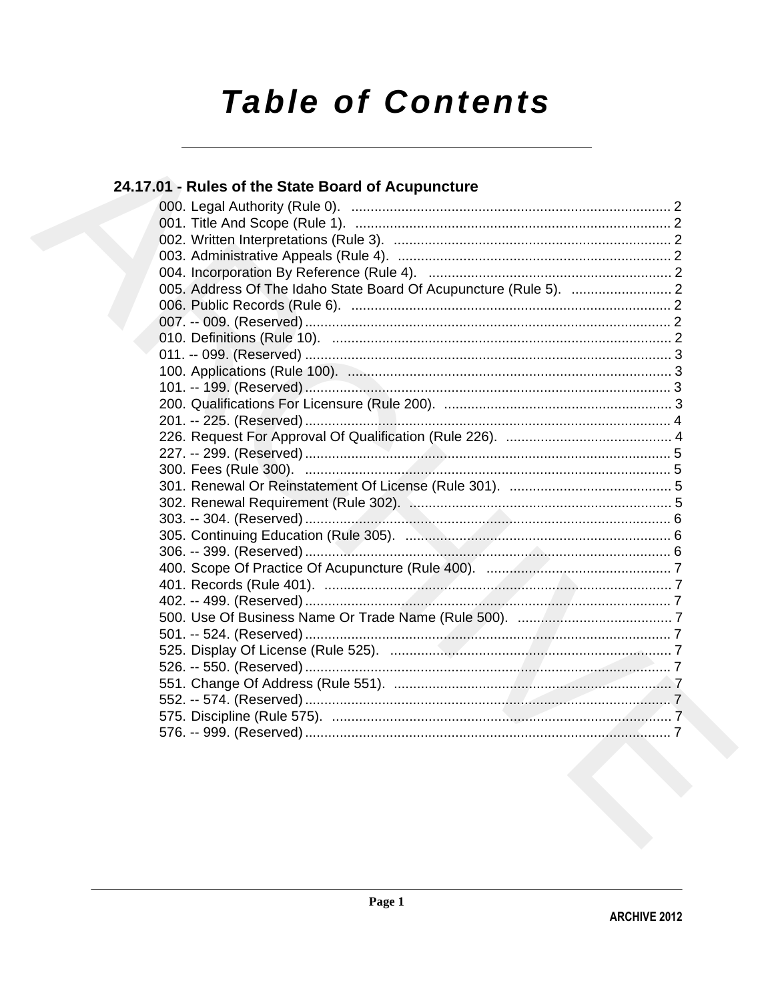# **Table of Contents**

## 24.17.01 - Rules of the State Board of Acupuncture

|  | 005. Address Of The Idaho State Board Of Acupuncture (Rule 5).  2 |  |
|--|-------------------------------------------------------------------|--|
|  |                                                                   |  |
|  |                                                                   |  |
|  |                                                                   |  |
|  |                                                                   |  |
|  |                                                                   |  |
|  |                                                                   |  |
|  |                                                                   |  |
|  |                                                                   |  |
|  |                                                                   |  |
|  |                                                                   |  |
|  |                                                                   |  |
|  |                                                                   |  |
|  |                                                                   |  |
|  |                                                                   |  |
|  |                                                                   |  |
|  |                                                                   |  |
|  |                                                                   |  |
|  |                                                                   |  |
|  |                                                                   |  |
|  |                                                                   |  |
|  |                                                                   |  |
|  |                                                                   |  |
|  |                                                                   |  |
|  |                                                                   |  |
|  |                                                                   |  |
|  |                                                                   |  |
|  |                                                                   |  |
|  |                                                                   |  |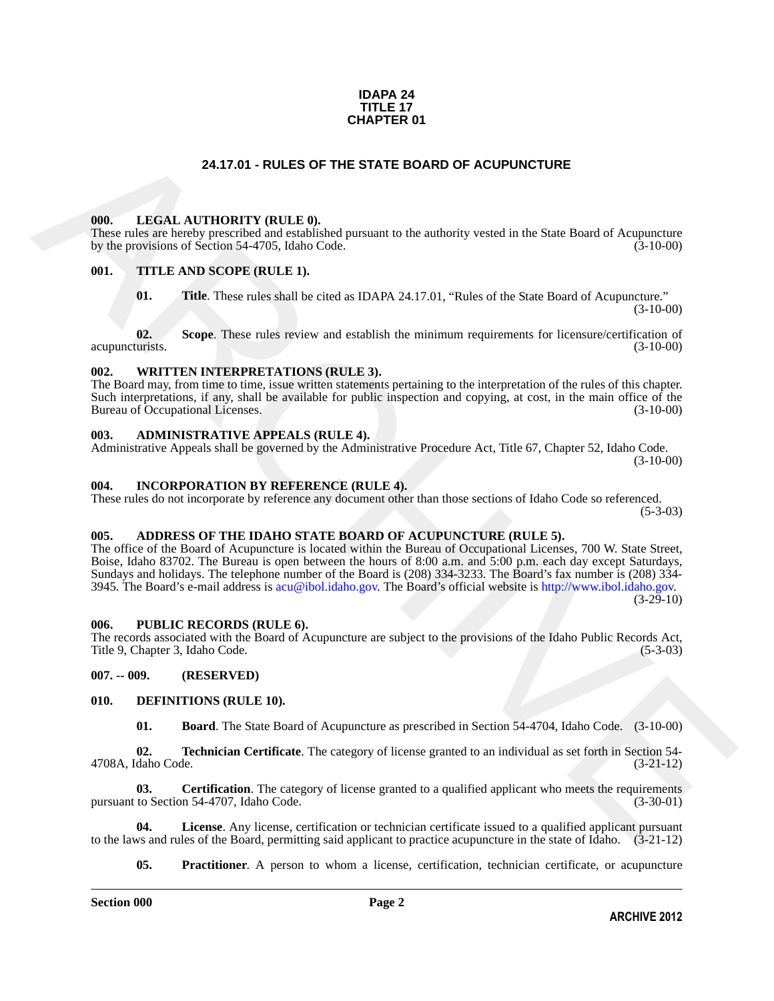#### **IDAPA 24 TITLE 17 CHAPTER 01**

#### **24.17.01 - RULES OF THE STATE BOARD OF ACUPUNCTURE**

#### <span id="page-1-1"></span><span id="page-1-0"></span>**000. LEGAL AUTHORITY (RULE 0).**

These rules are hereby prescribed and established pursuant to the authority vested in the State Board of Acupuncture by the provisions of Section 54-4705, Idaho Code. (3-10-00)

#### <span id="page-1-2"></span>**001. TITLE AND SCOPE (RULE 1).**

**01.** Title. These rules shall be cited as IDAPA 24.17.01, "Rules of the State Board of Acupuncture."  $(3-10-00)$ 

**02.** Scope. These rules review and establish the minimum requirements for licensure/certification of turists. (3-10-00) acupuncturists.

#### <span id="page-1-3"></span>**002. WRITTEN INTERPRETATIONS (RULE 3).**

The Board may, from time to time, issue written statements pertaining to the interpretation of the rules of this chapter. Such interpretations, if any, shall be available for public inspection and copying, at cost, in the main office of the Bureau of Occupational Licenses. (3-10-00) Bureau of Occupational Licenses.

#### <span id="page-1-4"></span>**003. ADMINISTRATIVE APPEALS (RULE 4).**

Administrative Appeals shall be governed by the Administrative Procedure Act, Title 67, Chapter 52, Idaho Code. (3-10-00)

#### <span id="page-1-5"></span>**004. INCORPORATION BY REFERENCE (RULE 4).**

These rules do not incorporate by reference any document other than those sections of Idaho Code so referenced.  $(5-3-03)$ 

#### <span id="page-1-6"></span>**005. ADDRESS OF THE IDAHO STATE BOARD OF ACUPUNCTURE (RULE 5).**

**24.17.01 - RULES OF T[H](mailto:acu@ibol.idaho.gov)E STATE BOARD OF ACUPUNCTURE<br>
The mission heads the state in the mission of the state in the state of Acupus Characterization<br>
The mission head of Acupus Characterization<br>
(b). THE A Non-SCOPE (RTLE** The office of the Board of Acupuncture is located within the Bureau of Occupational Licenses, 700 W. State Street, Boise, Idaho 83702. The Bureau is open between the hours of 8:00 a.m. and 5:00 p.m. each day except Saturdays, Sundays and holidays. The telephone number of the Board is (208) 334-3233. The Board's fax number is (208) 334- 3945. The Board's e-mail address is acu@ibol.idaho.gov. The Board's official website is http://www.ibol.idaho.gov.  $(3-29-10)$ 

#### <span id="page-1-7"></span>**006. PUBLIC RECORDS (RULE 6).**

The records associated with the Board of Acupuncture are subject to the provisions of the Idaho Public Records Act, Title 9, Chapter 3, Idaho Code.

#### <span id="page-1-8"></span>**007. -- 009. (RESERVED)**

#### <span id="page-1-9"></span>**010. DEFINITIONS (RULE 10).**

<span id="page-1-15"></span><span id="page-1-12"></span><span id="page-1-11"></span><span id="page-1-10"></span>**01. Board**. The State Board of Acupuncture as prescribed in Section 54-4704, Idaho Code. (3-10-00)

**02. Technician Certificate**. The category of license granted to an individual as set forth in Section 54-daho Code. (3-21-12) 4708A, Idaho Code.

**03. Certification**. The category of license granted to a qualified applicant who meets the requirements to Section 54-4707. Idaho Code. (3-30-01) pursuant to Section 54-4707, Idaho Code.

**04. License**. Any license, certification or technician certificate issued to a qualified applicant pursuant to the laws and rules of the Board, permitting said applicant to practice acupuncture in the state of Idaho. (3-21-12)

<span id="page-1-14"></span><span id="page-1-13"></span>**05. Practitioner**. A person to whom a license, certification, technician certificate, or acupuncture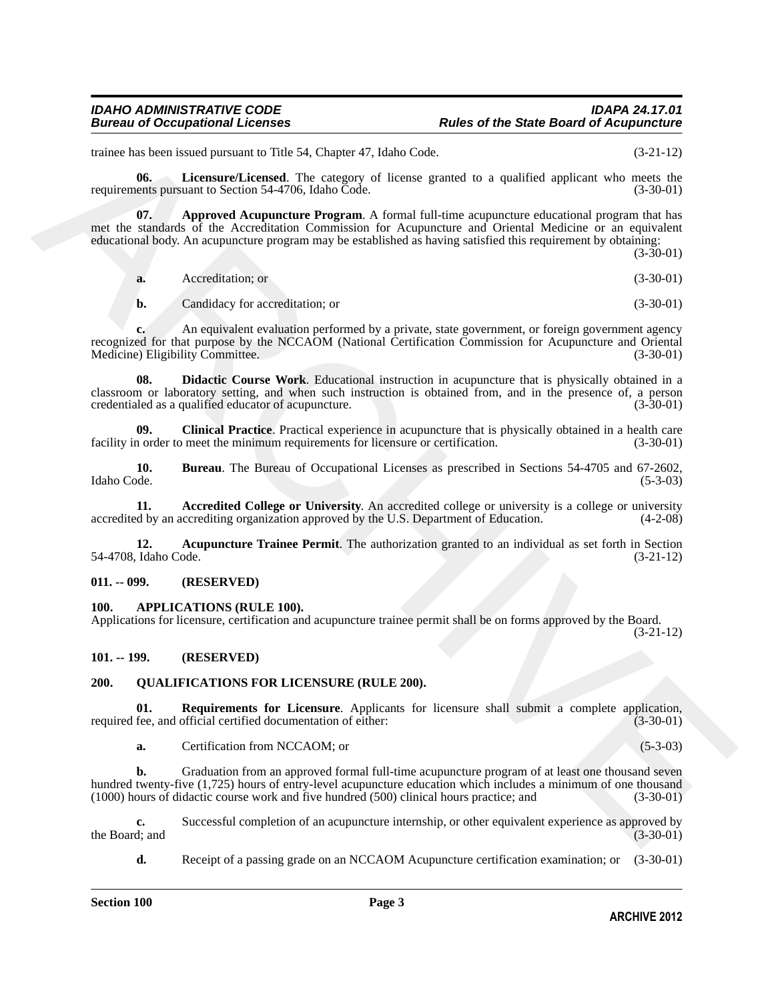#### *IDAHO ADMINISTRATIVE CODE IDAPA 24.17.01* **Rules of the State Board of Acupuncture**

trainee has been issued pursuant to Title 54, Chapter 47, Idaho Code. (3-21-12)

<span id="page-2-11"></span>**06.** Licensure/Licensed. The category of license granted to a qualified applicant who meets the ents pursuant to Section 54-4706. Idaho Code. (3-30-01) requirements pursuant to Section 54-4706, Idaho Code.

**07. Approved Acupuncture Program**. A formal full-time acupuncture educational program that has met the standards of the Accreditation Commission for Acupuncture and Oriental Medicine or an equivalent educational body. An acupuncture program may be established as having satisfied this requirement by obtaining:

<span id="page-2-7"></span>(3-30-01) **a.** Accreditation; or (3-30-01)

<span id="page-2-10"></span>**b.** Candidacy for accreditation; or (3-30-01)

**c.** An equivalent evaluation performed by a private, state government, or foreign government agency recognized for that purpose by the NCCAOM (National Certification Commission for Acupuncture and Oriental Medicine) Eligibility Committee. (3-30-01) Medicine) Eligibility Committee.

Finites has been bosted unstant to Thit S4, Changes 47, Island Code<br>
requirements to a result of system of The context of the context of the context of the results of the system of the context of the system and the contex **08. Didactic Course Work**. Educational instruction in acupuncture that is physically obtained in a classroom or laboratory setting, and when such instruction is obtained from, and in the presence of, a person credentialed as a qualified educator of acupuncture. (3-30-01) credentialed as a qualified educator of acupuncture.

<span id="page-2-9"></span>**09.** Clinical Practice. Practical experience in acupuncture that is physically obtained in a health care norder to meet the minimum requirements for licensure or certification. (3-30-01) facility in order to meet the minimum requirements for licensure or certification.

<span id="page-2-8"></span>**10. Bureau**. The Bureau of Occupational Licenses as prescribed in Sections 54-4705 and 67-2602, Idaho Code. (5-3-03) Idaho Code. (5-3-03)

<span id="page-2-5"></span>**11. Accredited College or University**. An accredited college or university is a college or university accredited by an accrediting organization approved by the U.S. Department of Education. (4-2-08)

<span id="page-2-6"></span>**12.** Acupuncture Trainee Permit. The authorization granted to an individual as set forth in Section Idaho Code. (3-21-12) 54-4708, Idaho Code.

#### <span id="page-2-0"></span>**011. -- 099. (RESERVED)**

#### <span id="page-2-4"></span><span id="page-2-1"></span>**100. APPLICATIONS (RULE 100).**

Applications for licensure, certification and acupuncture trainee permit shall be on forms approved by the Board. (3-21-12)

#### <span id="page-2-2"></span>**101. -- 199. (RESERVED)**

#### <span id="page-2-12"></span><span id="page-2-3"></span>**200. QUALIFICATIONS FOR LICENSURE (RULE 200).**

**01.** Requirements for Licensure. Applicants for licensure shall submit a complete application, fee. and official certified documentation of either: (3-30-01) required fee, and official certified documentation of either:

<span id="page-2-13"></span>**a.** Certification from NCCAOM; or (5-3-03)

**b.** Graduation from an approved formal full-time acupuncture program of at least one thousand seven hundred twenty-five (1,725) hours of entry-level acupuncture education which includes a minimum of one thousand (1000) hours of didactic course work and five hundred (500) clinical hours practice; and (3-30-01)

**c.** Successful completion of an acupuncture internship, or other equivalent experience as approved by the Board; and (3-30-01) the Board; and  $(3-30-01)$ 

**d.** Receipt of a passing grade on an NCCAOM Acupuncture certification examination; or (3-30-01)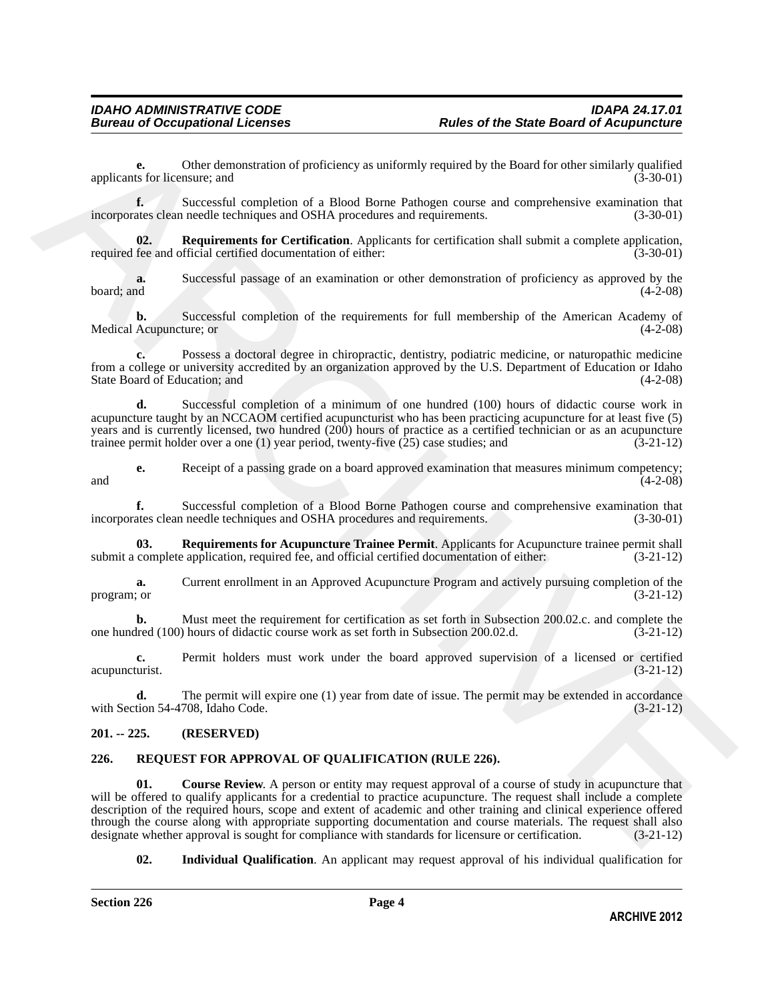**e.** Other demonstration of proficiency as uniformly required by the Board for other similarly qualified ts for licensure; and (3-30-01) applicants for licensure; and

**f.** Successful completion of a Blood Borne Pathogen course and comprehensive examination that ates clean needle techniques and OSHA procedures and requirements. (3-30-01) incorporates clean needle techniques and OSHA procedures and requirements.

<span id="page-3-3"></span>**02. Requirements for Certification**. Applicants for certification shall submit a complete application, required fee and official certified documentation of either: (3-30-01)

**a.** Successful passage of an examination or other demonstration of proficiency as approved by the board; and (4-2-08)  $\beta$  board; and  $(4-2-08)$ 

**b.** Successful completion of the requirements for full membership of the American Academy of Medical Acupuncture; or (4-2-08)

**c.** Possess a doctoral degree in chiropractic, dentistry, podiatric medicine, or naturopathic medicine from a college or university accredited by an organization approved by the U.S. Department of Education or Idaho State Board of Education; and (4-2-08)

**d.** Successful completion of a minimum of one hundred (100) hours of didactic course work in acupuncture taught by an NCCAOM certified acupuncturist who has been practicing acupuncture for at least five (5) years and is currently licensed, two hundred (200) hours of practice as a certified technician or as an acupuncture trainee permit holder over a one (1) year period, twenty-five (25) case studies; and (3-21-12)

**e.** Receipt of a passing grade on a board approved examination that measures minimum competency;<br>(4-2-08)  $(4-2-08)$ 

**f.** Successful completion of a Blood Borne Pathogen course and comprehensive examination that incorporates clean needle techniques and OSHA procedures and requirements. (3-30-01)

<span id="page-3-2"></span>**03.** Requirements for Acupuncture Trainee Permit. Applicants for Acupuncture trainee permit shall complete application, required fee, and official certified documentation of either:  $(3-21-12)$ submit a complete application, required fee, and official certified documentation of either:

**a.** Current enrollment in an Approved Acupuncture Program and actively pursuing completion of the program; or  $(3-21-12)$ 

**b.** Must meet the requirement for certification as set forth in Subsection 200.02.c. and complete the lred (100) hours of didactic course work as set forth in Subsection 200.02.d. (3-21-12) one hundred (100) hours of didactic course work as set forth in Subsection 200.02.d.

**c.** Permit holders must work under the board approved supervision of a licensed or certified acupuncturist. (3-21-12)

**d.** The permit will expire one (1) year from date of issue. The permit may be extended in accordance tion 54-4708, Idaho Code. (3-21-12) with Section 54-4708, Idaho Code.

#### <span id="page-3-0"></span>**201. -- 225. (RESERVED)**

#### <span id="page-3-5"></span><span id="page-3-4"></span><span id="page-3-1"></span>**226. REQUEST FOR APPROVAL OF QUALIFICATION (RULE 226).**

spectral content definite of productions of productions of the state of the state of the state of the state of the state of the state of the state of the state of the state of the state of the state of the state of the st **01.** Course Review. A person or entity may request approval of a course of study in acupuncture that will be offered to qualify applicants for a credential to practice acupuncture. The request shall include a complete description of the required hours, scope and extent of academic and other training and clinical experience offered through the course along with appropriate supporting documentation and course materials. The request shall also<br>designate whether approval is sought for compliance with standards for licensure or certification. (3-21-12) designate whether approval is sought for compliance with standards for licensure or certification.

<span id="page-3-6"></span>**02. Individual Qualification**. An applicant may request approval of his individual qualification for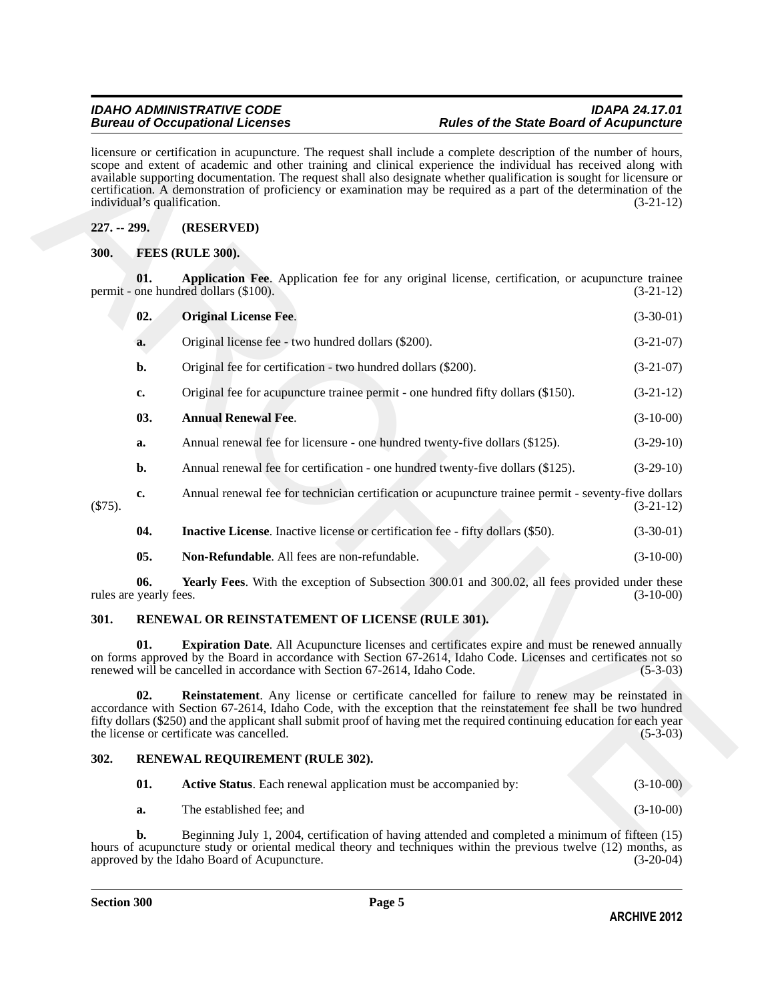#### <span id="page-4-9"></span><span id="page-4-6"></span><span id="page-4-5"></span><span id="page-4-4"></span><span id="page-4-1"></span><span id="page-4-0"></span>**227. -- 299. (RESERVED)**

| $227. - 299.$ |                                                                                                                                                                                                                                                                                                                            | individual's qualification.<br>(RESERVED)                                                                                                                                                                                                                                                                                                                                                         | $(3-21-12)$ |  |  |  |
|---------------|----------------------------------------------------------------------------------------------------------------------------------------------------------------------------------------------------------------------------------------------------------------------------------------------------------------------------|---------------------------------------------------------------------------------------------------------------------------------------------------------------------------------------------------------------------------------------------------------------------------------------------------------------------------------------------------------------------------------------------------|-------------|--|--|--|
| 300.          |                                                                                                                                                                                                                                                                                                                            |                                                                                                                                                                                                                                                                                                                                                                                                   |             |  |  |  |
|               | FEES (RULE 300).                                                                                                                                                                                                                                                                                                           |                                                                                                                                                                                                                                                                                                                                                                                                   |             |  |  |  |
|               | 01.                                                                                                                                                                                                                                                                                                                        | Application Fee. Application fee for any original license, certification, or acupuncture trainee<br>permit - one hundred dollars (\$100).                                                                                                                                                                                                                                                         | $(3-21-12)$ |  |  |  |
|               | 02.                                                                                                                                                                                                                                                                                                                        | <b>Original License Fee.</b>                                                                                                                                                                                                                                                                                                                                                                      | $(3-30-01)$ |  |  |  |
|               | a.                                                                                                                                                                                                                                                                                                                         | Original license fee - two hundred dollars (\$200).                                                                                                                                                                                                                                                                                                                                               | $(3-21-07)$ |  |  |  |
|               | b.                                                                                                                                                                                                                                                                                                                         | Original fee for certification - two hundred dollars (\$200).                                                                                                                                                                                                                                                                                                                                     | $(3-21-07)$ |  |  |  |
|               | $c_{\bullet}$                                                                                                                                                                                                                                                                                                              | Original fee for acupuncture trainee permit - one hundred fifty dollars (\$150).                                                                                                                                                                                                                                                                                                                  | $(3-21-12)$ |  |  |  |
|               | 03.                                                                                                                                                                                                                                                                                                                        | <b>Annual Renewal Fee.</b>                                                                                                                                                                                                                                                                                                                                                                        | $(3-10-00)$ |  |  |  |
|               | a.                                                                                                                                                                                                                                                                                                                         | Annual renewal fee for licensure - one hundred twenty-five dollars (\$125).                                                                                                                                                                                                                                                                                                                       | $(3-29-10)$ |  |  |  |
|               | $b$ .                                                                                                                                                                                                                                                                                                                      | Annual renewal fee for certification - one hundred twenty-five dollars (\$125).                                                                                                                                                                                                                                                                                                                   | $(3-29-10)$ |  |  |  |
| $(\$75).$     | c.                                                                                                                                                                                                                                                                                                                         | Annual renewal fee for technician certification or acupuncture trainee permit - seventy-five dollars                                                                                                                                                                                                                                                                                              | $(3-21-12)$ |  |  |  |
|               | 04.                                                                                                                                                                                                                                                                                                                        | <b>Inactive License</b> . Inactive license or certification fee - fifty dollars (\$50).                                                                                                                                                                                                                                                                                                           | $(3-30-01)$ |  |  |  |
|               | 05.                                                                                                                                                                                                                                                                                                                        | Non-Refundable. All fees are non-refundable.                                                                                                                                                                                                                                                                                                                                                      | $(3-10-00)$ |  |  |  |
|               | 06.<br>rules are yearly fees.                                                                                                                                                                                                                                                                                              | Yearly Fees. With the exception of Subsection 300.01 and 300.02, all fees provided under these                                                                                                                                                                                                                                                                                                    | $(3-10-00)$ |  |  |  |
| 301.          |                                                                                                                                                                                                                                                                                                                            | RENEWAL OR REINSTATEMENT OF LICENSE (RULE 301).                                                                                                                                                                                                                                                                                                                                                   |             |  |  |  |
|               | 01.<br><b>Expiration Date.</b> All Acupuncture licenses and certificates expire and must be renewed annually<br>on forms approved by the Board in accordance with Section 67-2614, Idaho Code. Licenses and certificates not so<br>renewed will be cancelled in accordance with Section 67-2614, Idaho Code.<br>$(5-3-03)$ |                                                                                                                                                                                                                                                                                                                                                                                                   |             |  |  |  |
|               | 02.                                                                                                                                                                                                                                                                                                                        | <b>Reinstatement</b> . Any license or certificate cancelled for failure to renew may be reinstated in<br>accordance with Section 67-2614, Idaho Code, with the exception that the reinstatement fee shall be two hundred<br>fifty dollars (\$250) and the applicant shall submit proof of having met the required continuing education for each year<br>the license or certificate was cancelled. | $(5-3-03)$  |  |  |  |
|               |                                                                                                                                                                                                                                                                                                                            | RENEWAL REQUIREMENT (RULE 302).                                                                                                                                                                                                                                                                                                                                                                   |             |  |  |  |
|               |                                                                                                                                                                                                                                                                                                                            |                                                                                                                                                                                                                                                                                                                                                                                                   |             |  |  |  |
| 302.          | 01.                                                                                                                                                                                                                                                                                                                        | Active Status. Each renewal application must be accompanied by:                                                                                                                                                                                                                                                                                                                                   | $(3-10-00)$ |  |  |  |

#### <span id="page-4-12"></span><span id="page-4-11"></span><span id="page-4-10"></span><span id="page-4-8"></span><span id="page-4-7"></span><span id="page-4-2"></span>**301. RENEWAL OR REINSTATEMENT OF LICENSE (RULE 301).**

#### <span id="page-4-3"></span>**302. RENEWAL REQUIREMENT (RULE 302).**

<span id="page-4-15"></span><span id="page-4-14"></span><span id="page-4-13"></span>

| 01. | <b>Active Status.</b> Each renewal application must be accompanied by: | $(3-10-00)$ |
|-----|------------------------------------------------------------------------|-------------|
| а.  | The established fee: and                                               | $(3-10-00)$ |

**b.** Beginning July 1, 2004, certification of having attended and completed a minimum of fifteen (15) hours of acupuncture study or oriental medical theory and techniques within the previous twelve (12) months, as approved by the Idaho Board of Acupuncture. (3-20-04) approved by the Idaho Board of Acupuncture.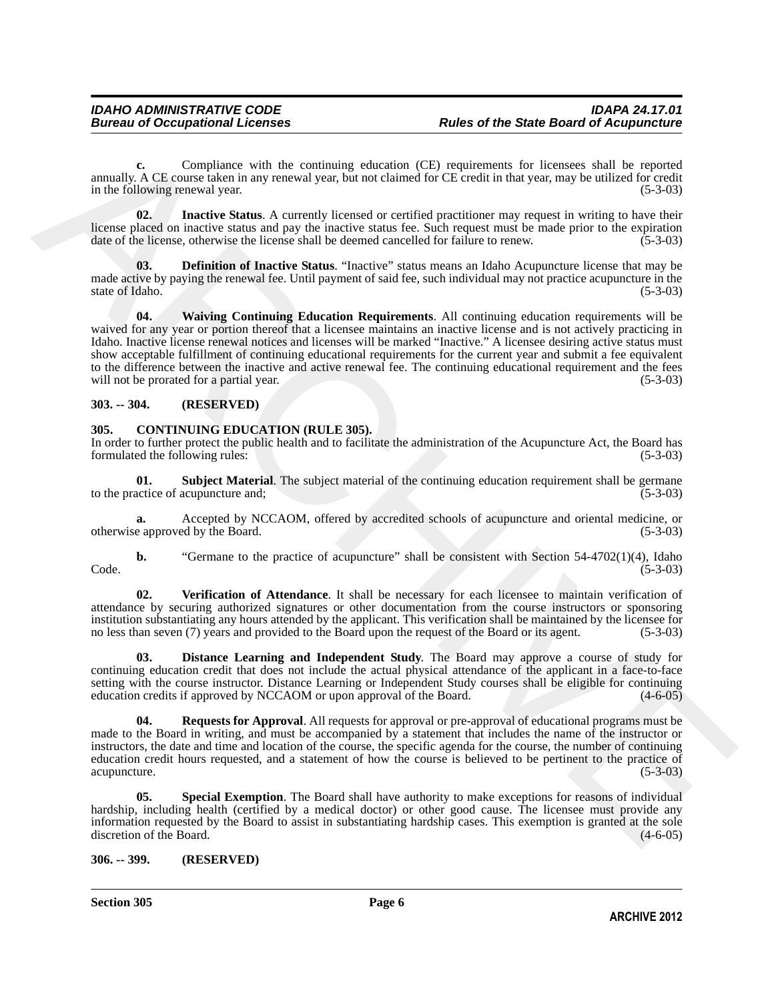**c.** Compliance with the continuing education (CE) requirements for licensees shall be reported annually. A CE course taken in any renewal year, but not claimed for CE credit in that year, may be utilized for credit in the following renewal year. (5-3-03)

<span id="page-5-10"></span>**02.** Inactive Status. A currently licensed or certified practitioner may request in writing to have their license placed on inactive status and pay the inactive status fee. Such request must be made prior to the expiration date of the license, otherwise the license shall be deemed cancelled for failure to renew. (5-3-03)

<span id="page-5-11"></span><span id="page-5-9"></span>**03. Definition of Inactive Status**. "Inactive" status means an Idaho Acupuncture license that may be made active by paying the renewal fee. Until payment of said fee, such individual may not practice acupuncture in the state of Idaho. (5-3-03) state of Idaho.

means by A CF, Completions with the current of galaction (CF) registeres to the former shall be reported to the control of the control of CF critical systems in the matter of the control of the control of the systems in t **04. Waiving Continuing Education Requirements**. All continuing education requirements will be waived for any year or portion thereof that a licensee maintains an inactive license and is not actively practicing in Idaho. Inactive license renewal notices and licenses will be marked "Inactive." A licensee desiring active status must show acceptable fulfillment of continuing educational requirements for the current year and submit a fee equivalent to the difference between the inactive and active renewal fee. The continuing educational requirement and the fees will not be prorated for a partial year. (5-3-03)

#### <span id="page-5-0"></span>**303. -- 304. (RESERVED)**

#### <span id="page-5-3"></span><span id="page-5-1"></span>**305. CONTINUING EDUCATION (RULE 305).**

In order to further protect the public health and to facilitate the administration of the Acupuncture Act, the Board has formulated the following rules: (5-3-03)

<span id="page-5-7"></span>**01. Subject Material**. The subject material of the continuing education requirement shall be germane actice of acupuncture and: (5-3-03) to the practice of acupuncture and;

**a.** Accepted by NCCAOM, offered by accredited schools of acupuncture and oriental medicine, or otherwise approved by the Board. (5-3-03)

**b.** "Germane to the practice of acupuncture" shall be consistent with Section 54-4702(1)(4), Idaho  $\text{Code.} \tag{5-3-03}$ 

<span id="page-5-8"></span>**02. Verification of Attendance**. It shall be necessary for each licensee to maintain verification of attendance by securing authorized signatures or other documentation from the course instructors or sponsoring institution substantiating any hours attended by the applicant. This verification shall be maintained by the licensee for no less than seven (7) years and provided to the Board upon the request of the Board or its agent. (5-3-03)

<span id="page-5-4"></span>**03. Distance Learning and Independent Study**. The Board may approve a course of study for continuing education credit that does not include the actual physical attendance of the applicant in a face-to-face setting with the course instructor. Distance Learning or Independent Study courses shall be eligible for continuing education credits if approved by NCCAOM or upon approval of the Board. (4-6-05) education credits if approved by NCCAOM or upon approval of the Board.

<span id="page-5-5"></span>**04. Requests for Approval**. All requests for approval or pre-approval of educational programs must be made to the Board in writing, and must be accompanied by a statement that includes the name of the instructor or instructors, the date and time and location of the course, the specific agenda for the course, the number of continuing education credit hours requested, and a statement of how the course is believed to be pertinent to the practice of acupuncture.

<span id="page-5-6"></span>**Special Exemption**. The Board shall have authority to make exceptions for reasons of individual hardship, including health (certified by a medical doctor) or other good cause. The licensee must provide any information requested by the Board to assist in substantiating hardship cases. This exemption is granted at the sole discretion of the Board.

#### <span id="page-5-2"></span>**306. -- 399. (RESERVED)**

**Section 305 Page 6**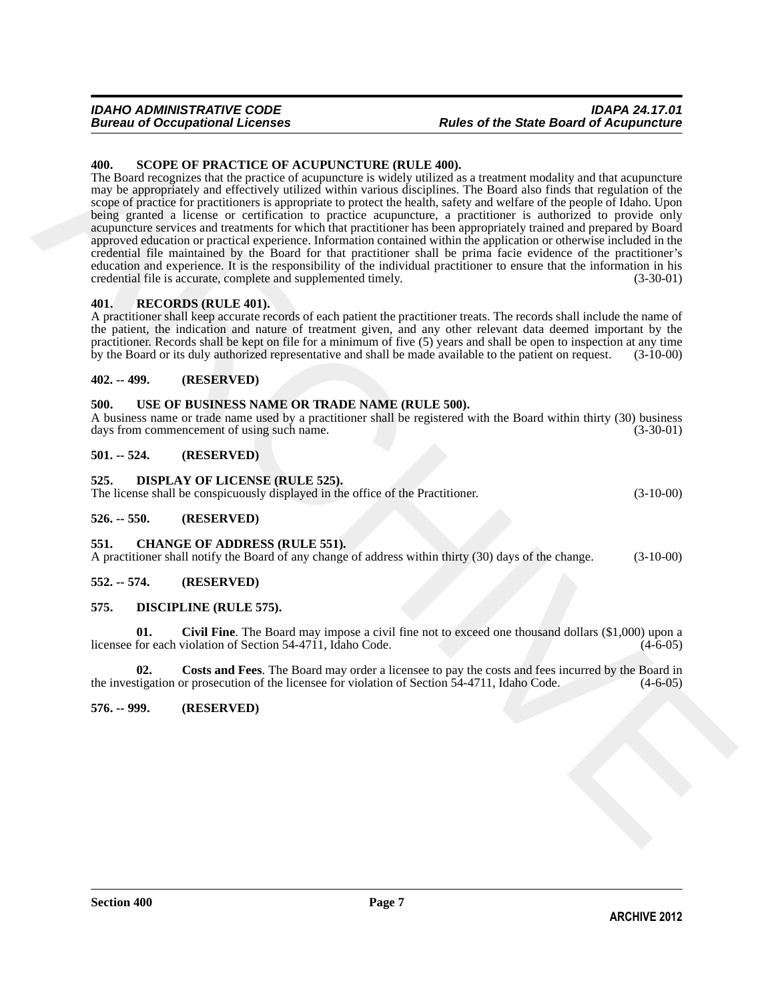#### *IDAHO ADMINISTRATIVE CODE IDAPA 24.17.01* **Rules of the State Board of Acupuncture**

#### <span id="page-6-17"></span><span id="page-6-0"></span>**400. SCOPE OF PRACTICE OF ACUPUNCTURE (RULE 400).**

**400.** SCOPE OF PRACTICE OF ACCULINCTURE (RILLE 400).<br>The local recogness and decrease the spinneting control in the based of the control of the particle control in the control of the spinneting control in the control of The Board recognizes that the practice of acupuncture is widely utilized as a treatment modality and that acupuncture may be appropriately and effectively utilized within various disciplines. The Board also finds that regulation of the scope of practice for practitioners is appropriate to protect the health, safety and welfare of the people of Idaho. Upon being granted a license or certification to practice acupuncture, a practitioner is authorized to provide only acupuncture services and treatments for which that practitioner has been appropriately trained and prepared by Board approved education or practical experience. Information contained within the application or otherwise included in the credential file maintained by the Board for that practitioner shall be prima facie evidence of the practitioner's education and experience. It is the responsibility of the individual practitioner to ensure that the information in his credential file is accurate, complete and supplemented timely. (3-30-01)

#### <span id="page-6-16"></span><span id="page-6-1"></span>**401. RECORDS (RULE 401).**

A practitioner shall keep accurate records of each patient the practitioner treats. The records shall include the name of the patient, the indication and nature of treatment given, and any other relevant data deemed important by the practitioner. Records shall be kept on file for a minimum of five  $(5)$  years and shall be open to inspection at any time<br>by the Board or its duly authorized representative and shall be made available to the patient on re by the Board or its duly authorized representative and shall be made available to the patient on request.

#### <span id="page-6-2"></span>**402. -- 499. (RESERVED)**

#### <span id="page-6-18"></span><span id="page-6-3"></span>**500. USE OF BUSINESS NAME OR TRADE NAME (RULE 500).**

A business name or trade name used by a practitioner shall be registered with the Board within thirty (30) business days from commencement of using such name. (3-30-01) days from commencement of using such name.

#### <span id="page-6-4"></span>**501. -- 524. (RESERVED)**

<span id="page-6-15"></span><span id="page-6-5"></span>**525. DISPLAY OF LICENSE (RULE 525).**

| The license shall be conspicuously displayed in the office of the Practitioner. |              |                                      |  |  |  |  |
|---------------------------------------------------------------------------------|--------------|--------------------------------------|--|--|--|--|
| $-2$                                                                            | $F = \Omega$ | $\sqrt{D}$ P $\left($ P $\mathbf{D}$ |  |  |  |  |

#### <span id="page-6-6"></span>**526. -- 550. (RESERVED)**

#### <span id="page-6-11"></span><span id="page-6-7"></span>**551. CHANGE OF ADDRESS (RULE 551).**

A practitioner shall notify the Board of any change of address within thirty (30) days of the change. (3-10-00)

#### <span id="page-6-8"></span>**552. -- 574. (RESERVED)**

#### <span id="page-6-12"></span><span id="page-6-9"></span>**575. DISCIPLINE (RULE 575).**

<span id="page-6-13"></span>**01. Civil Fine**. The Board may impose a civil fine not to exceed one thousand dollars (\$1,000) upon a licensee for each violation of Section 54-4711, Idaho Code.

<span id="page-6-14"></span>**02. Costs and Fees**. The Board may order a licensee to pay the costs and fees incurred by the Board in the investigation or prosecution of the licensee for violation of Section 54-4711, Idaho Code. (4-6-05)

<span id="page-6-10"></span>**576. -- 999. (RESERVED)**